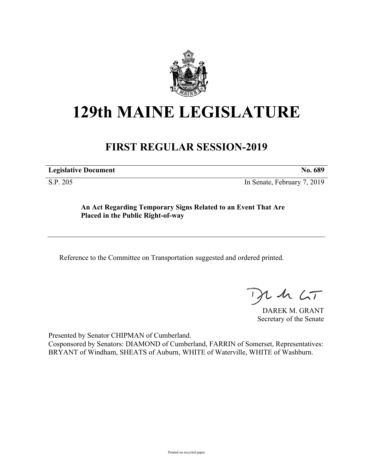

## **129th MAINE LEGISLATURE**

## **FIRST REGULAR SESSION-2019**

**Legislative Document No. 689**

S.P. 205 In Senate, February 7, 2019

**An Act Regarding Temporary Signs Related to an Event That Are Placed in the Public Right-of-way**

Reference to the Committee on Transportation suggested and ordered printed.

 $125$ 

DAREK M. GRANT Secretary of the Senate

Presented by Senator CHIPMAN of Cumberland. Cosponsored by Senators: DIAMOND of Cumberland, FARRIN of Somerset, Representatives: BRYANT of Windham, SHEATS of Auburn, WHITE of Waterville, WHITE of Washburn.